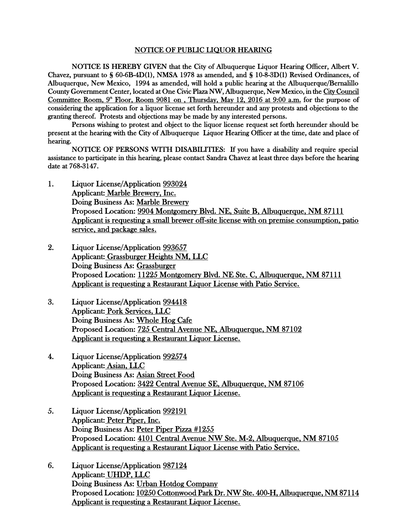## NOTICE OF PUBLIC LIQUOR HEARING

NOTICE IS HEREBY GIVEN that the City of Albuquerque Liquor Hearing Officer, Albert V. Chavez, pursuant to § 60-6B-4D(1), NMSA 1978 as amended, and § 10-8-3D(1) Revised Ordinances, of Albuquerque, New Mexico, 1994 as amended, will hold a public hearing at the Albuquerque/Bernalillo County Government Center, located at One Civic Plaza NW, Albuquerque, New Mexico, in the City Council Committee Room,  $9^{\omega}$  Floor, Room 9081 on, Thursday, May 12, 2016 at 9:00 a.m. for the purpose of considering the application for a liquor license set forth hereunder and any protests and objections to the granting thereof. Protests and objections may be made by any interested persons.

Persons wishing to protest and object to the liquor license request set forth hereunder should be present at the hearing with the City of Albuquerque Liquor Hearing Officer at the time, date and place of hearing.

NOTICE OF PERSONS WITH DISABILITIES: If you have a disability and require special assistance to participate in this hearing, please contact Sandra Chavez at least three days before the hearing date at 768-3147.

- 1. Liquor License/Application 993024 Applicant: Marble Brewery, Inc. Doing Business As: Marble Brewery Proposed Location: 9904 Montgomery Blvd. NE, Suite B, Albuquerque, NM 87111 Applicant is requesting a small brewer off-site license with on premise consumption, patio service, and package sales.
- 2. Liquor License/Application 993657 Applicant: Grassburger Heights NM, LLC Doing Business As: Grassburger Proposed Location: 11225 Montgomery Blvd. NE Ste. C, Albuquerque, NM 87111 Applicant is requesting a Restaurant Liquor License with Patio Service.
- 3. Liquor License/Application 994418 Applicant: Pork Services, LLC Doing Business As: Whole Hog Cafe Proposed Location: 725 Central Avenue NE, Albuquerque, NM 87102 Applicant is requesting a Restaurant Liquor License.
- 4. Liquor License/Application 992574 Applicant: Asian, LLC Doing Business As: Asian Street Food Proposed Location: 3422 Central Avenue SE, Albuquerque, NM 87106 Applicant is requesting a Restaurant Liquor License.
- 5. Liquor License/Application 992191 Applicant: Peter Piper, Inc. Doing Business As: Peter Piper Pizza #1255 Proposed Location: 4101 Central Avenue NW Ste. M-2, Albuquerque, NM 87105 Applicant is requesting a Restaurant Liquor License with Patio Service.
- 6. Liquor License/Application 987124 Applicant: UHDP, LLC Doing Business As: Urban Hotdog Company Proposed Location: 10250 Cottonwood Park Dr. NW Ste. 400-H, Albuquerque, NM 87114 Applicant is requesting a Restaurant Liquor License.